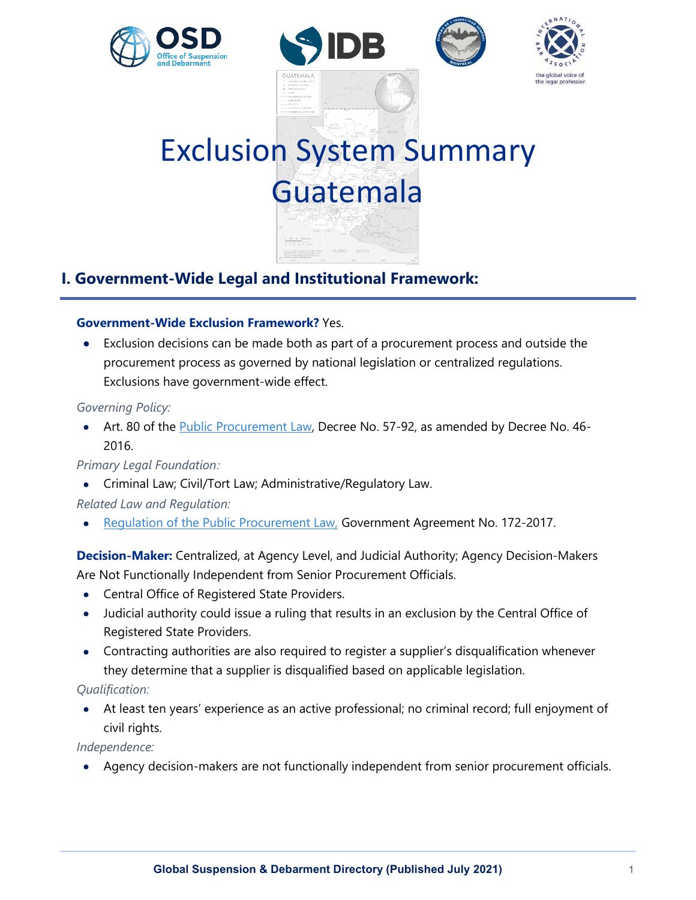







# Exclusion System Summary Guatemala

# **I. Government-Wide Legal and Institutional Framework:**

# **Government-Wide Exclusion Framework?** Yes.

• Exclusion decisions can be made both as part of a procurement process and outside the procurement process as governed by national legislation or centralized regulations. Exclusions have government-wide effect.

# *Governing Policy:*

• Art. 80 of the **Public Procurement Law**, Decree No. 57-92, as amended by Decree No. 46-2016.

# *Primary Legal Foundation:*

- Criminal Law; Civil/Tort Law; Administrative/Regulatory Law.
- *Related Law and Regulation:*
- Requiation of the Public Procurement Law, Government Agreement No. 172-2017.

**Decision-Maker:** Centralized, at Agency Level, and Judicial Authority; Agency Decision-Makers Are Not Functionally Independent from Senior Procurement Officials.

- Central Office of Registered State Providers.
- Judicial authority could issue a ruling that results in an exclusion by the Central Office of Registered State Providers.
- Contracting authorities are also required to register a supplier's disqualification whenever they determine that a supplier is disqualified based on applicable legislation.

# *Qualification:*

• At least ten years' experience as an active professional; no criminal record; full enjoyment of civil rights.

*Independence:*

• Agency decision-makers are not functionally independent from senior procurement officials.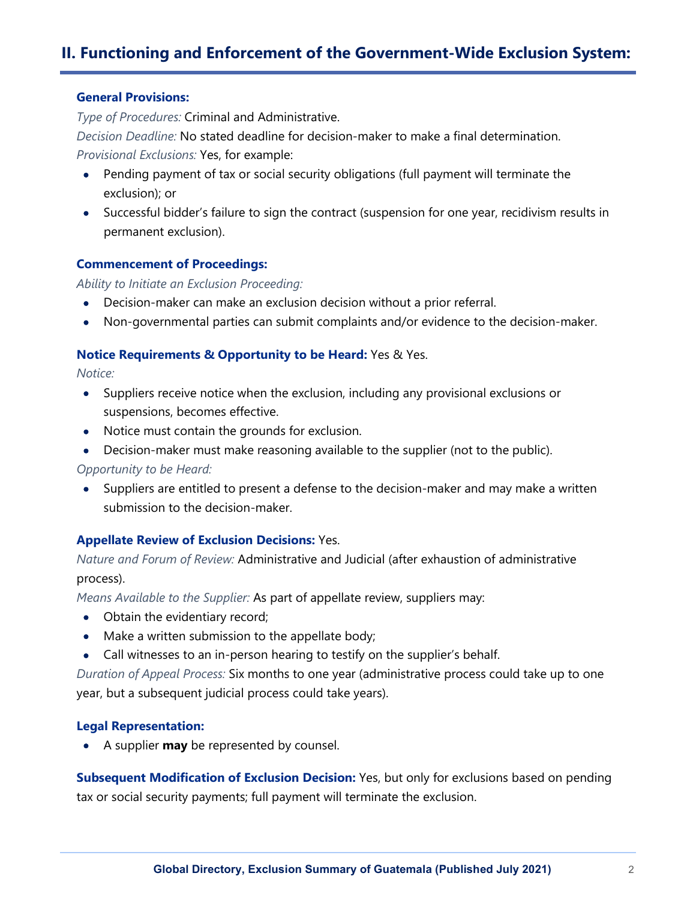# **II. Functioning and Enforcement of the Government-Wide Exclusion System:**

#### **General Provisions:**

*Type of Procedures:* Criminal and Administrative.

*Decision Deadline:* No stated deadline for decision-maker to make a final determination.

*Provisional Exclusions:* Yes, for example:

- Pending payment of tax or social security obligations (full payment will terminate the exclusion); or
- Successful bidder's failure to sign the contract (suspension for one year, recidivism results in permanent exclusion).

#### **Commencement of Proceedings:**

*Ability to Initiate an Exclusion Proceeding:*

- Decision-maker can make an exclusion decision without a prior referral.
- Non-governmental parties can submit complaints and/or evidence to the decision-maker.

#### **Notice Requirements & Opportunity to be Heard:** Yes & Yes.

*Notice:*

- Suppliers receive notice when the exclusion, including any provisional exclusions or suspensions, becomes effective.
- Notice must contain the grounds for exclusion.
- Decision-maker must make reasoning available to the supplier (not to the public).

*Opportunity to be Heard:*

• Suppliers are entitled to present a defense to the decision-maker and may make a written submission to the decision-maker.

# **Appellate Review of Exclusion Decisions:** Yes.

*Nature and Forum of Review:* Administrative and Judicial (after exhaustion of administrative process).

*Means Available to the Supplier:* As part of appellate review, suppliers may:

- Obtain the evidentiary record;
- Make a written submission to the appellate body;
- Call witnesses to an in-person hearing to testify on the supplier's behalf.

*Duration of Appeal Process:* Six months to one year (administrative process could take up to one year, but a subsequent judicial process could take years).

#### **Legal Representation:**

• A supplier **may** be represented by counsel.

**Subsequent Modification of Exclusion Decision:** Yes, but only for exclusions based on pending tax or social security payments; full payment will terminate the exclusion.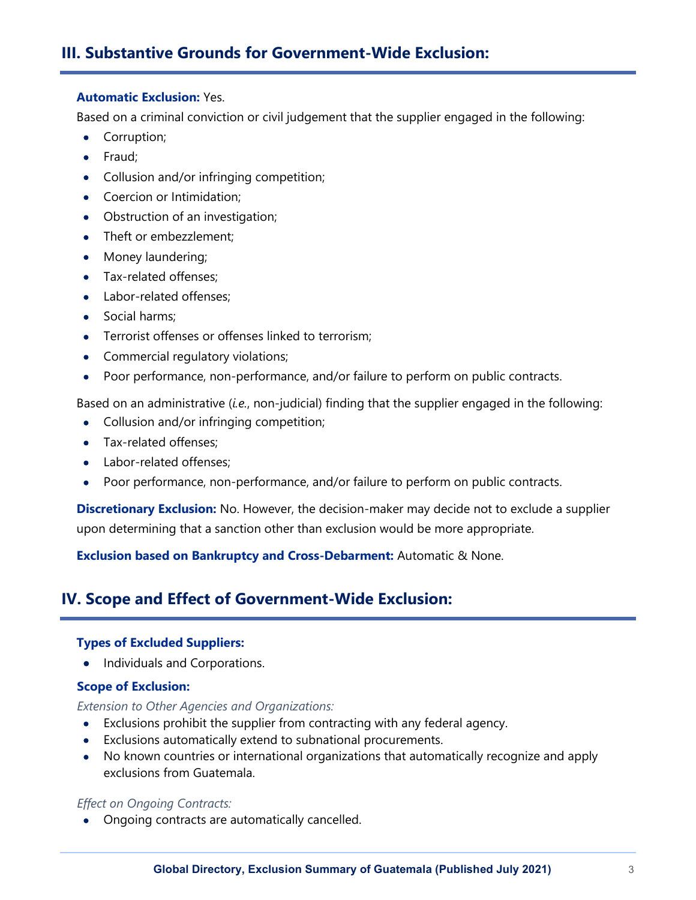# **III. Substantive Grounds for Government-Wide Exclusion:**

#### **Automatic Exclusion:** Yes.

Based on a criminal conviction or civil judgement that the supplier engaged in the following:

- Corruption;
- Fraud;
- Collusion and/or infringing competition;
- Coercion or Intimidation;
- Obstruction of an investigation;
- Theft or embezzlement:
- Money laundering;
- Tax-related offenses;
- Labor-related offenses;
- Social harms;
- Terrorist offenses or offenses linked to terrorism;
- Commercial regulatory violations;
- Poor performance, non-performance, and/or failure to perform on public contracts.

Based on an administrative (*i.e.*, non-judicial) finding that the supplier engaged in the following:

- Collusion and/or infringing competition;
- Tax-related offenses:
- Labor-related offenses:
- Poor performance, non-performance, and/or failure to perform on public contracts.

**Discretionary Exclusion:** No. However, the decision-maker may decide not to exclude a supplier upon determining that a sanction other than exclusion would be more appropriate.

**Exclusion based on Bankruptcy and Cross-Debarment:** Automatic & None.

# **IV. Scope and Effect of Government-Wide Exclusion:**

# **Types of Excluded Suppliers:**

• Individuals and Corporations.

# **Scope of Exclusion:**

# *Extension to Other Agencies and Organizations:*

- Exclusions prohibit the supplier from contracting with any federal agency.
- Exclusions automatically extend to subnational procurements.
- No known countries or international organizations that automatically recognize and apply exclusions from Guatemala.

# *Effect on Ongoing Contracts:*

• Ongoing contracts are automatically cancelled.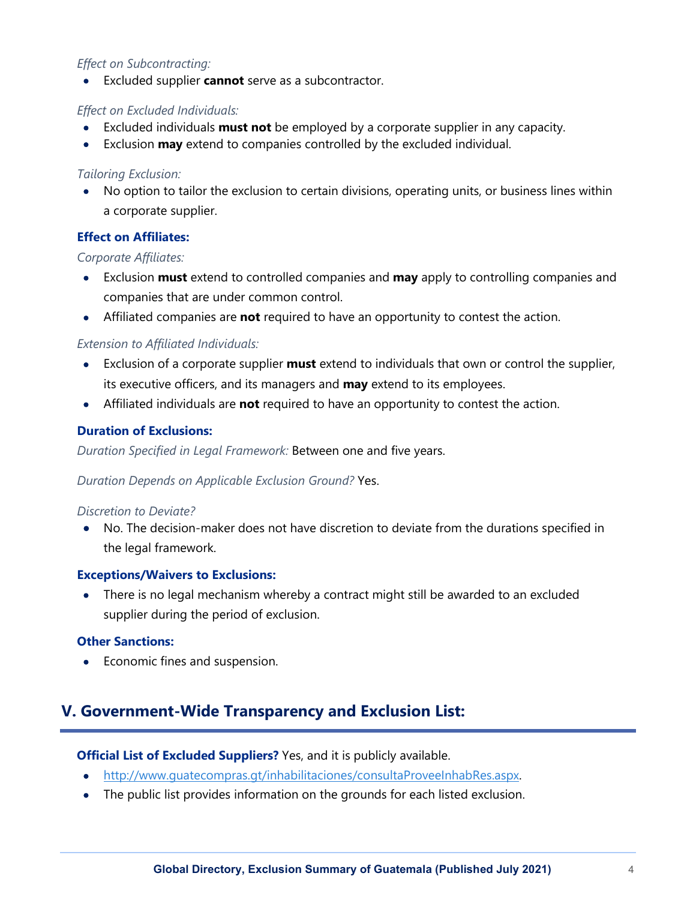# *Effect on Subcontracting:*

• Excluded supplier **cannot** serve as a subcontractor.

# *Effect on Excluded Individuals:*

- Excluded individuals **must not** be employed by a corporate supplier in any capacity.
- Exclusion **may** extend to companies controlled by the excluded individual.

# *Tailoring Exclusion:*

• No option to tailor the exclusion to certain divisions, operating units, or business lines within a corporate supplier.

# **Effect on Affiliates:**

# *Corporate Affiliates:*

- Exclusion **must** extend to controlled companies and **may** apply to controlling companies and companies that are under common control.
- Affiliated companies are **not** required to have an opportunity to contest the action.

# *Extension to Affiliated Individuals:*

- Exclusion of a corporate supplier **must** extend to individuals that own or control the supplier, its executive officers, and its managers and **may** extend to its employees.
- Affiliated individuals are **not** required to have an opportunity to contest the action.

# **Duration of Exclusions:**

*Duration Specified in Legal Framework:* Between one and five years.

# *Duration Depends on Applicable Exclusion Ground?* Yes.

# *Discretion to Deviate?*

• No. The decision-maker does not have discretion to deviate from the durations specified in the legal framework.

# **Exceptions/Waivers to Exclusions:**

• There is no legal mechanism whereby a contract might still be awarded to an excluded supplier during the period of exclusion.

# **Other Sanctions:**

• Economic fines and suspension.

# **V. Government-Wide Transparency and Exclusion List:**

# **Official List of Excluded Suppliers?** Yes, and it is publicly available.

- http://www.quatecompras.qt/inhabilitaciones/consultaProveeInhabRes.aspx.
- The public list provides information on the grounds for each listed exclusion.